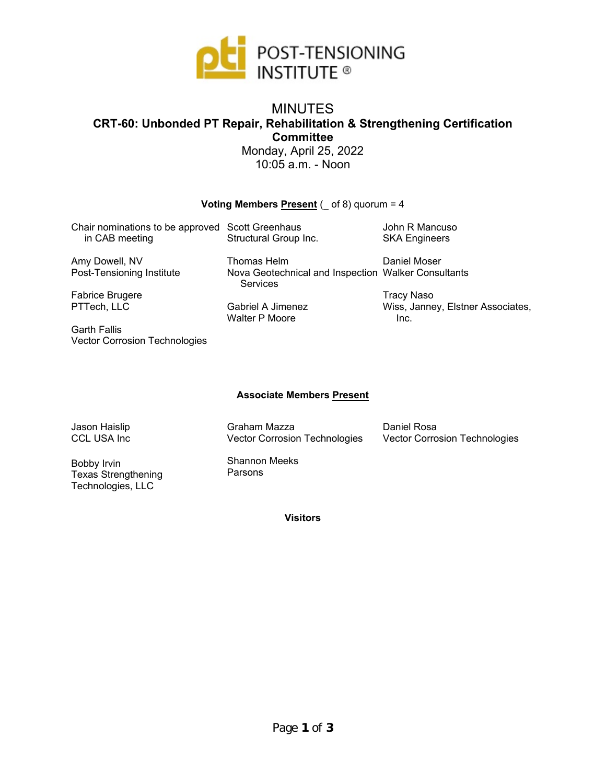

## MINUTES **CRT-60: Unbonded PT Repair, Rehabilitation & Strengthening Certification Committee**

Monday, April 25, 2022 10:05 a.m. - Noon

#### **Voting Members Present**  $($  **of 8) quorum = 4**

| Chair nominations to be approved Scott Greenhaus<br>in CAB meeting | Structural Group Inc.                                           | John R Mancuso<br><b>SKA Engineers</b>    |
|--------------------------------------------------------------------|-----------------------------------------------------------------|-------------------------------------------|
| Amy Dowell, NV                                                     | Thomas Helm                                                     | Daniel Moser                              |
| Post-Tensioning Institute                                          | Nova Geotechnical and Inspection Walker Consultants<br>Services |                                           |
| Fabrice Brugere                                                    |                                                                 | <b>Tracy Naso</b>                         |
| PTTech, LLC                                                        | Gabriel A Jimenez<br><b>Walter P Moore</b>                      | Wiss, Janney, Elstner Associates,<br>Inc. |
| Corth Eollic                                                       |                                                                 |                                           |

Garth Fallis Vector Corrosion Technologies

### **Associate Members Present**

Jason Haislip CCL USA Inc Graham Mazza Vector Corrosion Technologies

Daniel Rosa Vector Corrosion Technologies

Bobby Irvin Texas Strengthening Technologies, LLC

Shannon Meeks Parsons

**Visitors**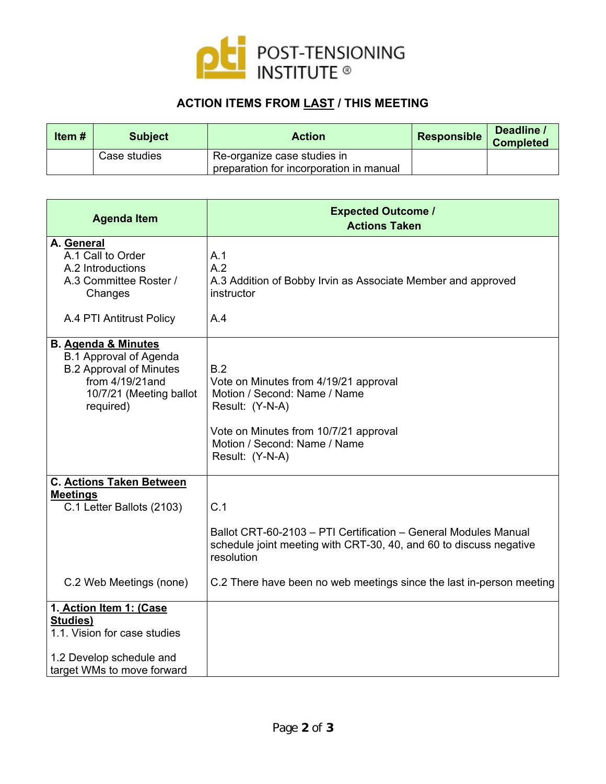

## **ACTION ITEMS FROM LAST / THIS MEETING**

| Item # | <b>Subject</b> | <b>Action</b>                                                          | <b>Responsible</b> | Deadline /<br><b>Completed</b> |
|--------|----------------|------------------------------------------------------------------------|--------------------|--------------------------------|
|        | Case studies   | Re-organize case studies in<br>preparation for incorporation in manual |                    |                                |

| <b>Agenda Item</b>                                                                                                          | <b>Expected Outcome /</b><br><b>Actions Taken</b>                                                                                                                                           |
|-----------------------------------------------------------------------------------------------------------------------------|---------------------------------------------------------------------------------------------------------------------------------------------------------------------------------------------|
| A. General<br>A.1 Call to Order<br>A.2 Introductions<br>A.3 Committee Roster /<br>Changes<br>A.4 PTI Antitrust Policy       | A.1<br>A.2<br>A.3 Addition of Bobby Irvin as Associate Member and approved<br>instructor<br>A.4                                                                                             |
| <b>B.</b> Agenda & Minutes                                                                                                  |                                                                                                                                                                                             |
| <b>B.1 Approval of Agenda</b><br><b>B.2 Approval of Minutes</b><br>from 4/19/21 and<br>10/7/21 (Meeting ballot<br>required) | B.2<br>Vote on Minutes from 4/19/21 approval<br>Motion / Second: Name / Name<br>Result: (Y-N-A)<br>Vote on Minutes from 10/7/21 approval<br>Motion / Second: Name / Name<br>Result: (Y-N-A) |
| <b>C. Actions Taken Between</b><br><b>Meetings</b>                                                                          |                                                                                                                                                                                             |
| C.1 Letter Ballots (2103)                                                                                                   | C.1                                                                                                                                                                                         |
|                                                                                                                             | Ballot CRT-60-2103 - PTI Certification - General Modules Manual<br>schedule joint meeting with CRT-30, 40, and 60 to discuss negative<br>resolution                                         |
| C.2 Web Meetings (none)                                                                                                     | C.2 There have been no web meetings since the last in-person meeting                                                                                                                        |
| 1. Action Item 1: (Case<br>Studies)                                                                                         |                                                                                                                                                                                             |
| 1.1. Vision for case studies                                                                                                |                                                                                                                                                                                             |
| 1.2 Develop schedule and<br>target WMs to move forward                                                                      |                                                                                                                                                                                             |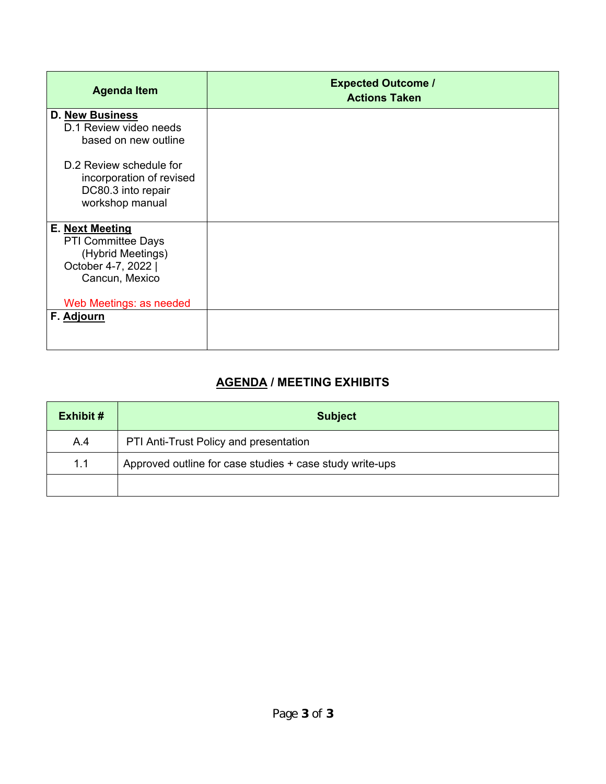| <b>Agenda Item</b>                                                                                         | <b>Expected Outcome /</b><br><b>Actions Taken</b> |
|------------------------------------------------------------------------------------------------------------|---------------------------------------------------|
| <b>D. New Business</b><br>D.1 Review video needs<br>based on new outline                                   |                                                   |
| D.2 Review schedule for<br>incorporation of revised<br>DC80.3 into repair<br>workshop manual               |                                                   |
| E. Next Meeting<br><b>PTI Committee Days</b><br>(Hybrid Meetings)<br>October 4-7, 2022  <br>Cancun, Mexico |                                                   |
| Web Meetings: as needed                                                                                    |                                                   |
| F. Adjourn                                                                                                 |                                                   |

# **AGENDA / MEETING EXHIBITS**

| <b>Exhibit #</b>                                                | <b>Subject</b>                         |
|-----------------------------------------------------------------|----------------------------------------|
| A.4                                                             | PTI Anti-Trust Policy and presentation |
| 1.1<br>Approved outline for case studies + case study write-ups |                                        |
|                                                                 |                                        |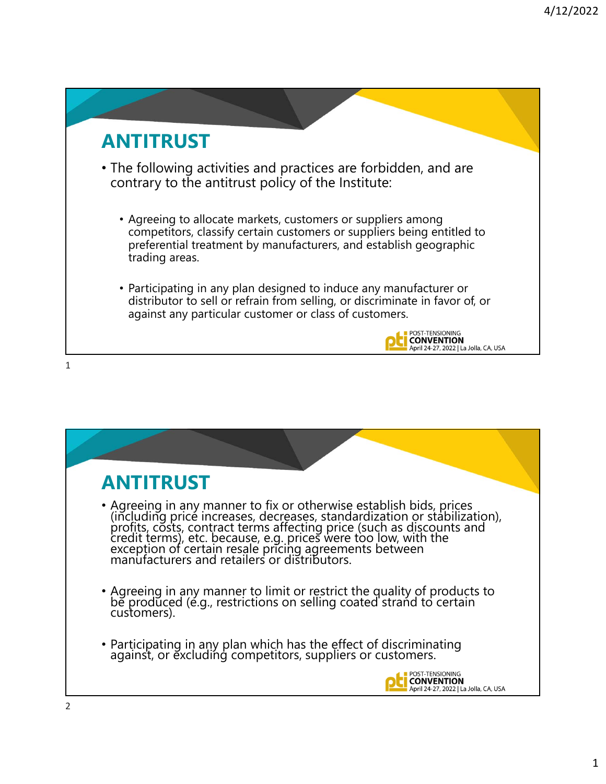# **ANTITRUST**

• The following activities and practices are forbidden, and are contrary to the antitrust policy of the Institute:

- Agreeing to allocate markets, customers or suppliers among competitors, classify certain customers or suppliers being entitled to preferential treatment by manufacturers, and establish geographic trading areas.
- Participating in any plan designed to induce any manufacturer or distributor to sell or refrain from selling, or discriminate in favor of, or against any particular customer or class of customers.



1

| <b>ANTITRUST</b>                                                                                                                                                                                                                        |
|-----------------------------------------------------------------------------------------------------------------------------------------------------------------------------------------------------------------------------------------|
| • Agreeing in any manner to fix or otherwise establish bids, prices<br>(including price increases, decreases, standardization or stabilization),<br>profits, costs, contract terms affecting price (such as discounts and<br>credit ter |
| • Agreeing in any manner to limit or restrict the quality of products to be produced (e.g., restrictions on selling coated strand to certain<br>customers).                                                                             |
| • Participating in any plan which has the effect of discriminating against, or excluding competitors, suppliers or customers.                                                                                                           |
| Anril 24-27, 2022   La Jolla CA LISA                                                                                                                                                                                                    |